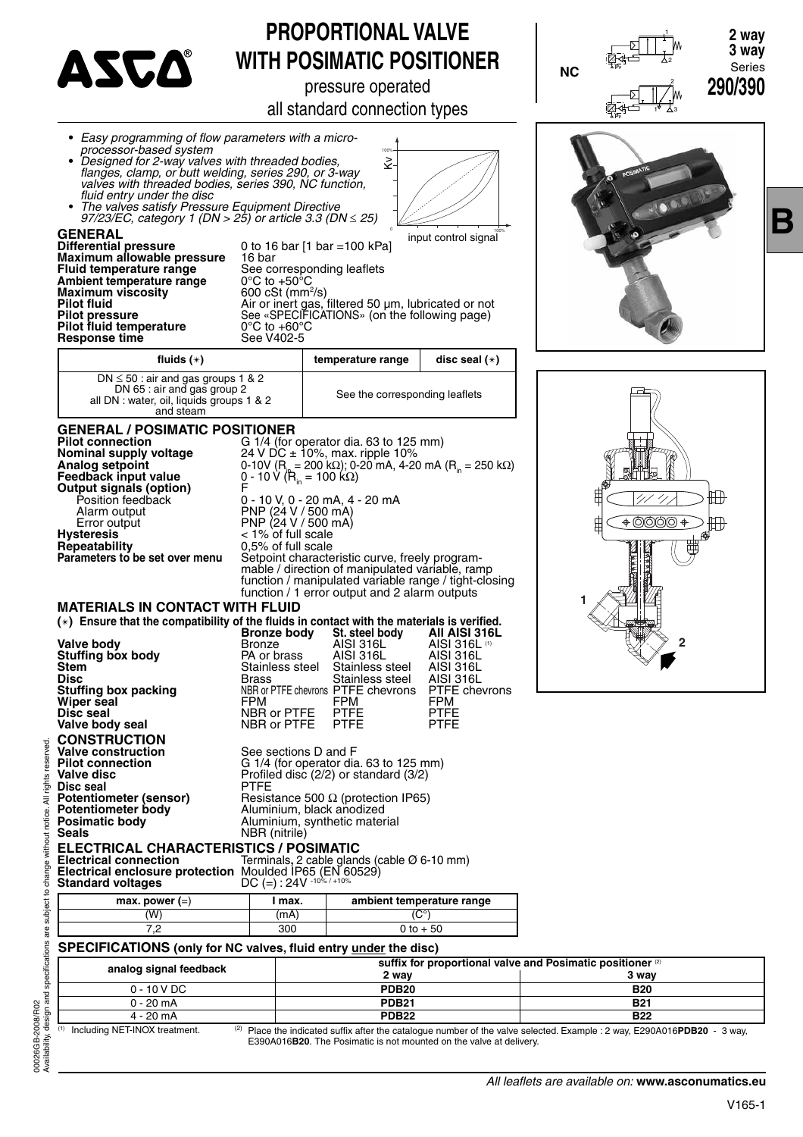

## **PROPORTIONAL VALVE WITH POSIMATIC POSITIONER**

pressure operated

all standard connection types



 $^{(1)}$  Including NET-INOX treatment.  $^{(2)}$  Place the indicated suffix after the catalogue number of the valve selected. Example : 2 way, E290A016PDB20 - 3 way, E390A016**B20**. The Posimatic is not mounted on the valve at delivery.

eserved

ights  $\overline{a}$ 

without notice.

**B**

2

20个时一 1

2

3

**NC**

 $\times$ **PP**



<sup>1</sup> **2 way**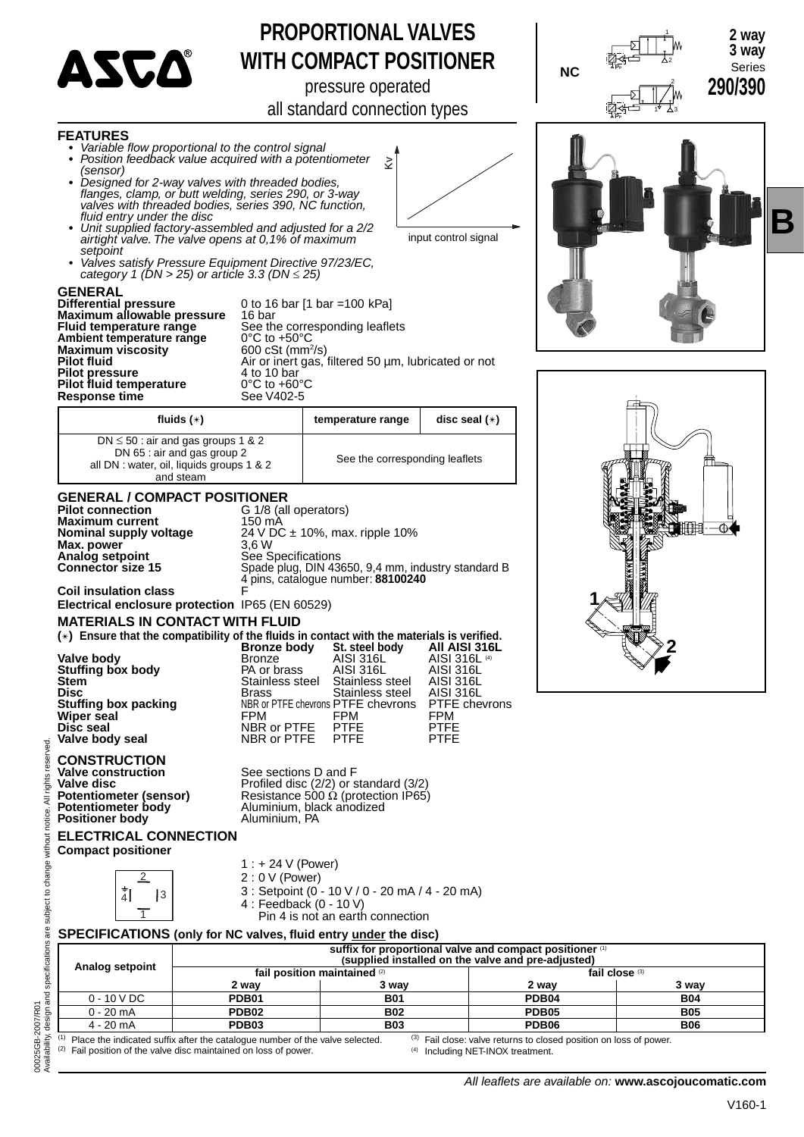

**FEATURES** • *Variable flow proportional to the control signal* 

**•** *Position feedback value acquired with a potentiometer* 

## **PROPORTIONAL VALVES WITH COMPACT POSITIONER**

pressure operated

all standard connection types

Kv



**B**



(1) Place the indicated suffix after the catalogue number of the valve selected.<br>(2) Fail position of the valve disc maintained on loss of power. Fail position of the valve disc maintained on loss of power.

Fail close: valve returns to closed position on loss of power. (4) Including NET-INOX treatment.

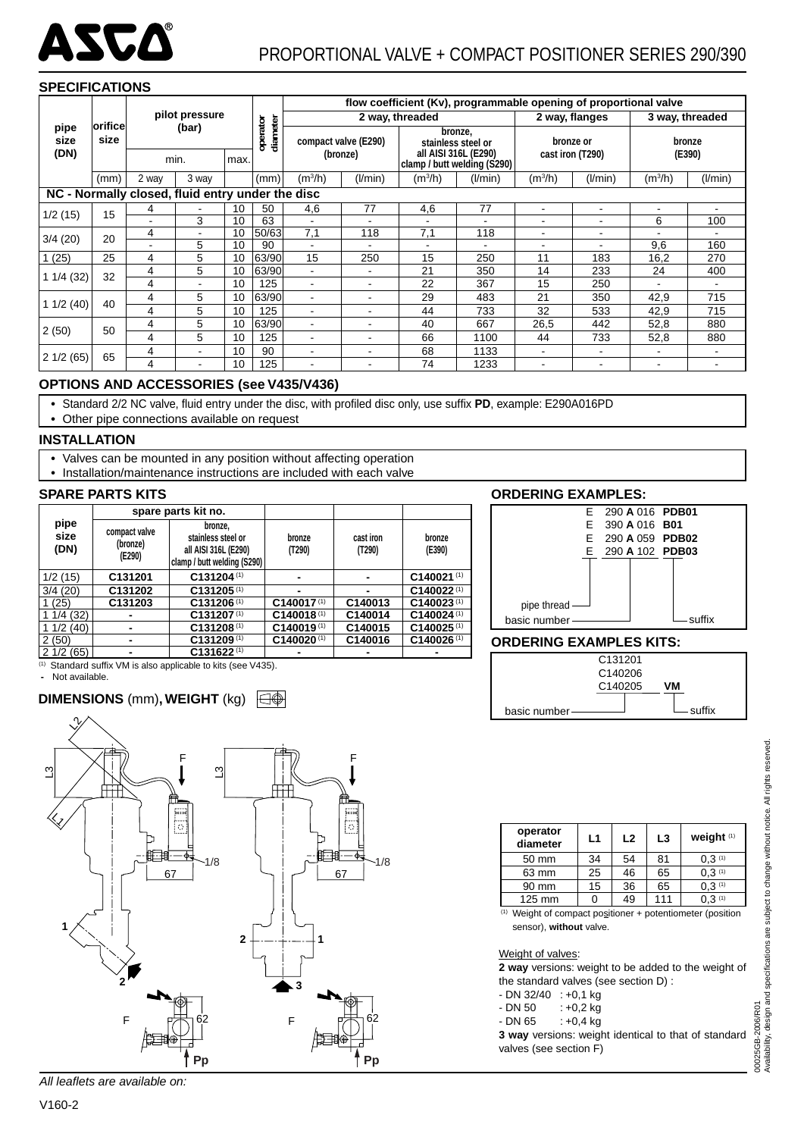

#### **SPECIFICATIONS**

|              |                                                  |       |                |      |                      | flow coefficient (Kv), programmable opening of proportional valve |                      |                                                     |                          |                          |                          |                |                |
|--------------|--------------------------------------------------|-------|----------------|------|----------------------|-------------------------------------------------------------------|----------------------|-----------------------------------------------------|--------------------------|--------------------------|--------------------------|----------------|----------------|
|              |                                                  |       | pilot pressure |      |                      | 2 way, threaded                                                   |                      |                                                     |                          | 2 way, flanges           | 3 way, threaded          |                |                |
| pipe<br>size | <b>orifice</b><br>size                           |       | (bar)          |      | operator<br>diameter |                                                                   | compact valve (E290) | stainless steel or                                  | bronze,                  |                          | bronze or                | bronze         |                |
| (DN)         |                                                  |       | min.           | max. |                      | (bronze)                                                          |                      | all AISI 316L (E290)<br>clamp / butt welding (S290) |                          |                          | cast iron (T290)         | (E390)         |                |
|              | (mm)                                             | 2 way | 3 way          |      | (mm)                 | $(m^3/h)$                                                         | (I/min)              | $(m^3/h)$                                           | (l/min)                  | (m <sup>3</sup> /h)      | (I/min)                  | $(m^{3}/h)$    | (I/min)        |
|              | NC - Normally closed, fluid entry under the disc |       |                |      |                      |                                                                   |                      |                                                     |                          |                          |                          |                |                |
|              | 15                                               | 4     |                | 10   | 50                   | 4,6                                                               | 77                   | 4,6                                                 | 77                       | ٠                        | $\blacksquare$           | $\blacksquare$ | ٠              |
| 1/2(15)      |                                                  |       | 3              | 10   | 63                   |                                                                   |                      |                                                     |                          | $\overline{\phantom{0}}$ | $\blacksquare$           | 6              | 100            |
| 3/4(20)      | 20                                               | 4     |                | 10   | 50/63                | 7,1                                                               | 118                  | 7,1                                                 | 118                      | ۰                        | $\overline{\phantom{0}}$ |                |                |
|              |                                                  |       | 5              | 10   | 90                   | ۰                                                                 | ۰                    |                                                     | $\overline{\phantom{a}}$ |                          |                          | 9,6            | 160            |
| 1(25)        | 25                                               | 4     | 5              | 10   | 63/90                | 15                                                                | 250                  | 15                                                  | 250                      | 11                       | 183                      | 16,2           | 270            |
| 11/4(32)     | 32                                               | 4     | 5              | 10   | 63/90                |                                                                   |                      | 21                                                  | 350                      | 14                       | 233                      | 24             | 400            |
|              |                                                  | 4     |                | 10   | 125                  |                                                                   | ۰                    | 22                                                  | 367                      | 15                       | 250                      |                |                |
|              | 40                                               | 4     | 5              | 10   | 63/90                | ٠                                                                 | ۰                    | 29                                                  | 483                      | 21                       | 350                      | 42,9           | 715            |
| 11/2(40)     |                                                  | 4     | 5              | 10   | 125                  | ۰                                                                 | ۰                    | 44                                                  | 733                      | 32                       | 533                      | 42,9           | 715            |
|              |                                                  | 4     | 5              | 10   | 63/90                |                                                                   |                      | 40                                                  | 667                      | 26,5                     | 442                      | 52,8           | 880            |
| 2(50)        | 50                                               | 4     | 5              | 10   | 125                  | ۰                                                                 |                      | 66                                                  | 1100                     | 44                       | 733                      | 52,8           | 880            |
| 2 1/2 (65)   | 65                                               | 4     |                | 10   | 90                   | $\blacksquare$                                                    |                      | 68                                                  | 1133                     |                          |                          |                |                |
|              |                                                  | 4     |                | 10   | 125                  | ٠                                                                 | ۰                    | 74                                                  | 1233                     |                          | $\overline{\phantom{0}}$ | $\blacksquare$ | $\blacksquare$ |

#### **OPTIONS AND ACCESSORIES (see V435/V436)**

• Standard 2/2 NC valve, fluid entry under the disc, with profiled disc only, use suffix PD, example: E290A016PD

**•** Other pipe connections available on request

#### **INSTALLATION**

- **•** Valves can be mounted in any position without affecting operation
- **•** Installation/maintenance instructions are included with each valve

#### **SPARE PARTS KITS**

|                      |                                     | spare parts kit no.                                                                  |                          |                     |                          |
|----------------------|-------------------------------------|--------------------------------------------------------------------------------------|--------------------------|---------------------|--------------------------|
| pipe<br>size<br>(DN) | compact valve<br>(bronze)<br>(E290) | bronze,<br>stainless steel or<br>all AISI 316L (E290)<br>clamp / butt welding (S290) | bronze<br>(T290)         | cast iron<br>(T290) | bronze<br>(E390)         |
| 1/2(15)              | C131201                             | C131204 <sup>(1)</sup>                                                               |                          |                     | C140021(1)               |
| 3/4(20)              | C131202                             | $C131205$ <sup>(1)</sup>                                                             |                          |                     | C140022(1)               |
| (25)                 | C131203                             | $C131206$ <sup>(1)</sup>                                                             | C140017(1)               | C140013             | $C140023$ <sup>(1)</sup> |
| 1/4(32)              |                                     | C131207(1)                                                                           | C140018(1)               | C140014             | C140024 <sup>(1)</sup>   |
| 11/2(40)             | -                                   | $C131208$ <sup>(1)</sup>                                                             | $C140019$ <sup>(1)</sup> | C140015             | $C140025$ <sup>(1)</sup> |
| 2(50)                | ٠                                   | $C131209$ <sup>(1)</sup>                                                             | C140020(1)               | C140016             | C140026 <sup>(1)</sup>   |
| 21/2(65)             |                                     | C131622 <sup>(1)</sup>                                                               |                          |                     |                          |

 $(1)$  Standard suffix VM is also applicable to kits (see V435).

 **-** Not available.

#### **DIMENSIONS** (mm)**, WEIGHT** (kg)





#### **ORDERING EXAMPLES KITS:**



| operator<br>diameter                                                                  | L1 | L2 | L3  | weight <sup>(1)</sup> |
|---------------------------------------------------------------------------------------|----|----|-----|-----------------------|
| 50 mm                                                                                 | 34 | 54 | 81  | 0.3(1)                |
| 63 mm                                                                                 | 25 | 46 | 65  | 0.3(1)                |
| 90 mm                                                                                 | 15 | 36 | 65  | 0.3(1)                |
| 125 mm                                                                                |    | 49 | 111 | 0.3(1)                |
| 74) A Material and consequence of the second contract and second second second second |    |    |     |                       |

(1) Weight of compact positioner + potentiometer (position sensor), **without** valve.

#### Weight of valves:

**2 way** versions: weight to be added to the weight of the standard valves (see section D) :

- $-DN$  32/40 : +0,1 kg
- $DN 50 : +0, 2 kg$
- $DN 65 +0,4 kg$

**3 way** versions: weight identical to that of standard valves (see section F)

All leaflets are available on: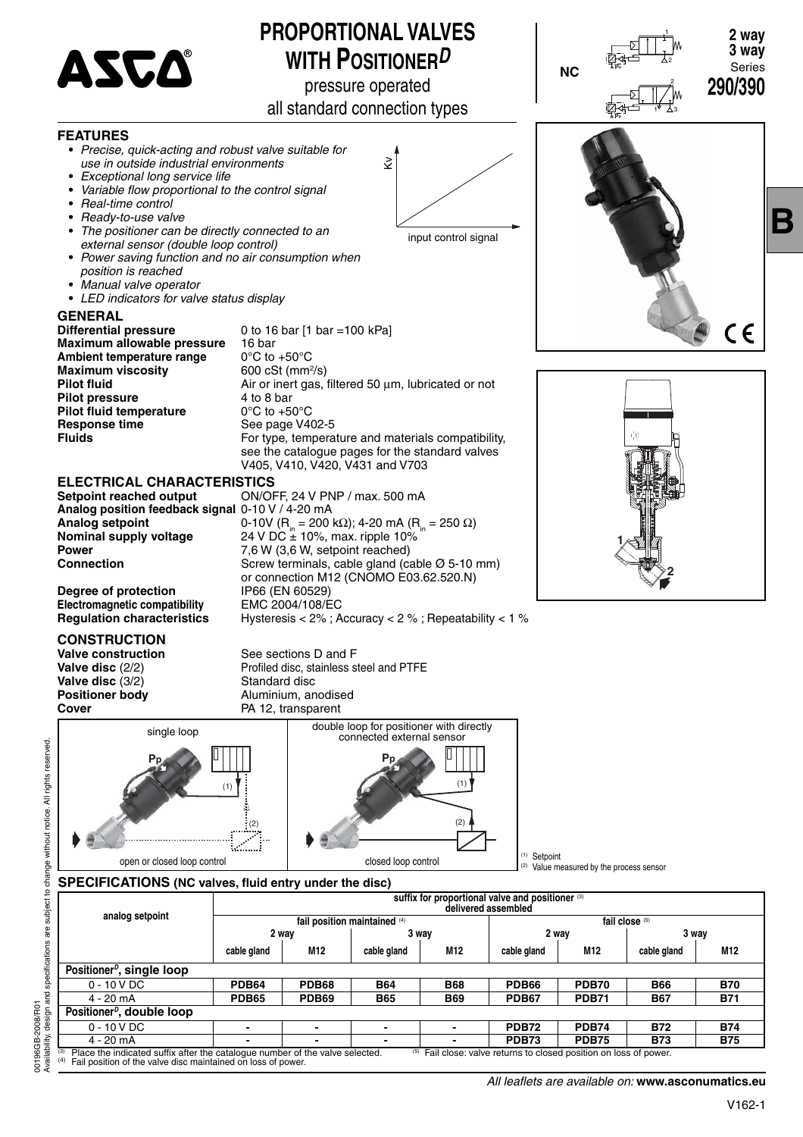

### **PROPORTIONAL VALVES WITH POSITIONER***D*

pressure operated

all standard connection types



**B**



**Degree of protection** IP66 (EN 60529)<br> **Electromagnetic compatibility** EMC 2004/108/EC **Electromagnetic compatibility<br>Requilation characteristics** 

**CONSTRUCTION**

**Valve construction**<br> **Valve disc** (2/2) **Subset Constructed Sections D** Profiled disc. stainless st Profiled disc, stainless steel and PTFE **Valve disc** (3/2) Standard disc<br> **Positioner body** Aluminium, an **Positioner body Aluminium, anodised**<br> **Cover Cover** PA 12, transparent

**Regulation characteristics** Hysteresis < 2% ; Accuracy < 2 % ; Repeatability < 1 %



(1) Setpoint (2) Value measured by the process sensor

### SPECIFICATIONS (NC valves, fluid entry under the disc)

|                                                                                                                                                                                                                              | suffix for proportional valve and positioner (3)<br>delivered assembled |              |                              |            |              |                 |                |            |  |  |
|------------------------------------------------------------------------------------------------------------------------------------------------------------------------------------------------------------------------------|-------------------------------------------------------------------------|--------------|------------------------------|------------|--------------|-----------------|----------------|------------|--|--|
| analog setpoint                                                                                                                                                                                                              |                                                                         |              | fail position maintained (4) |            |              |                 | fail close (5) |            |  |  |
|                                                                                                                                                                                                                              | 2 way                                                                   |              | 3 way                        |            | 2 way        |                 | 3 way          |            |  |  |
|                                                                                                                                                                                                                              | cable gland                                                             | M12          | cable gland                  | M12        | cable gland  | M <sub>12</sub> | cable gland    | M12        |  |  |
| Positioner <sup><i>D</i></sup> , single loop                                                                                                                                                                                 |                                                                         |              |                              |            |              |                 |                |            |  |  |
| $0 - 10 VDC$                                                                                                                                                                                                                 | <b>PDB64</b>                                                            | <b>PDB68</b> | <b>B64</b>                   | <b>B68</b> | <b>PDB66</b> | <b>PDB70</b>    | <b>B66</b>     | <b>B70</b> |  |  |
| $4 - 20$ mA                                                                                                                                                                                                                  | <b>PDB65</b>                                                            | <b>PDB69</b> | <b>B65</b>                   | <b>B69</b> | <b>PDB67</b> | <b>PDB71</b>    | <b>B67</b>     | <b>B71</b> |  |  |
| Positioner <sup><i>D</i></sup> , double loop                                                                                                                                                                                 |                                                                         |              |                              |            |              |                 |                |            |  |  |
| $0 - 10 VDC$                                                                                                                                                                                                                 |                                                                         |              |                              |            | <b>PDB72</b> | <b>PDB74</b>    | <b>B72</b>     | <b>B74</b> |  |  |
| $4 - 20$ mA                                                                                                                                                                                                                  |                                                                         |              |                              |            | <b>PDB73</b> | <b>PDB75</b>    | <b>B73</b>     | <b>B75</b> |  |  |
| (3)<br>Place the indicated suffix after the catalogue number of the valve selected.<br>Fail close: valve returns to closed position on loss of power.<br>(5)<br>Fail position of the valve disc maintained on loss of power. |                                                                         |              |                              |            |              |                 |                |            |  |  |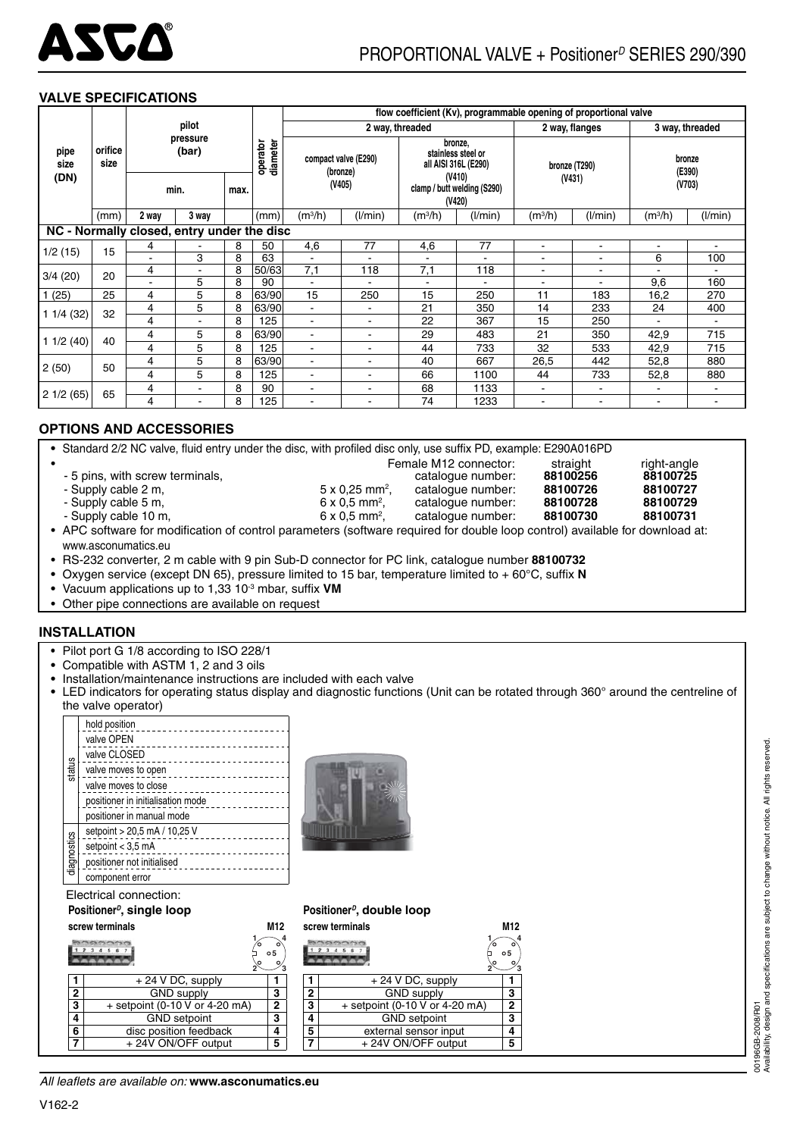

#### **VALVE SPECIFICATIONS**

|                                            |                 |       |                   |      |       |                                   |                      |                                                 |                                  |                     | flow coefficient (Kv), programmable opening of proportional valve |                          |                          |        |        |
|--------------------------------------------|-----------------|-------|-------------------|------|-------|-----------------------------------|----------------------|-------------------------------------------------|----------------------------------|---------------------|-------------------------------------------------------------------|--------------------------|--------------------------|--------|--------|
|                                            |                 |       | pilot             |      |       | 2 way, threaded<br>2 way, flanges |                      |                                                 |                                  | 3 way, threaded     |                                                                   |                          |                          |        |        |
| pipe<br>size                               | orifice<br>size |       | pressure<br>(bar) |      |       |                                   | diameter<br>operator |                                                 | compact valve (E290)<br>(bronze) |                     | bronze.<br>stainless steel or<br>all AISI 316L (E290)             |                          | bronze (T290)            | bronze | (E390) |
| (DN)                                       |                 |       | min.              | max. |       |                                   | (V405)               | (V410)<br>clamp / butt welding (S290)<br>(V420) |                                  |                     | (V431)                                                            |                          | (V703)                   |        |        |
|                                            | (mm)            | 2 way | 3 way             |      | (mm)  | (m <sup>3</sup> /h)               | (1/min)              | $(m^3/h)$                                       | (I/min)                          | (m <sup>3</sup> /h) | (1/min)                                                           | $(m^3/h)$                | (1/min)                  |        |        |
| NC - Normally closed, entry under the disc |                 |       |                   |      |       |                                   |                      |                                                 |                                  |                     |                                                                   |                          |                          |        |        |
| 1/2(15)                                    | 15              | 4     |                   | 8    | 50    | 4,6                               | 77                   | 4,6                                             | 77                               | ä,                  | $\overline{\phantom{a}}$                                          | $\blacksquare$           | $\blacksquare$           |        |        |
|                                            |                 |       | 3                 | 8    | 63    | $\blacksquare$                    | ÷.                   | $\sim$                                          | $\overline{a}$                   | ÷                   |                                                                   | 6                        | 100                      |        |        |
| 3/4(20)                                    | 20              | 4     |                   | 8    | 50/63 | 7,1                               | 118                  | 7,1                                             | 118                              | ۰                   |                                                                   |                          |                          |        |        |
|                                            |                 |       | 5                 | 8    | 90    |                                   |                      |                                                 |                                  |                     |                                                                   | 9,6                      | 160                      |        |        |
| 1(25)                                      | 25              | 4     | 5                 | 8    | 63/90 | 15                                | 250                  | 15                                              | 250                              | 11                  | 183                                                               | 16,2                     | 270                      |        |        |
| 11/4(32)                                   | 32              | 4     | 5                 | 8    | 63/90 | $\overline{\phantom{0}}$          | ۰.                   | 21                                              | 350                              | 14                  | 233                                                               | 24                       | 400                      |        |        |
|                                            |                 | 4     |                   | 8    | 125   | $\blacksquare$                    | ٠                    | 22                                              | 367                              | 15                  | 250                                                               | $\overline{\phantom{a}}$ |                          |        |        |
|                                            | 40              | 4     | 5                 | 8    | 63/90 | $\overline{\phantom{a}}$          | ÷.                   | 29                                              | 483                              | 21                  | 350                                                               | 42,9                     | 715                      |        |        |
| 11/2(40)                                   |                 | 4     | 5                 | 8    | 125   | $\blacksquare$                    | ٠                    | 44                                              | 733                              | 32                  | 533                                                               | 42,9                     | 715                      |        |        |
|                                            |                 | 4     | 5                 | 8    | 63/90 | $\overline{\phantom{0}}$          | ٠                    | 40                                              | 667                              | 26,5                | 442                                                               | 52,8                     | 880                      |        |        |
| 2(50)                                      | 50              | 4     | 5                 | 8    | 125   | $\blacksquare$                    | ٠                    | 66                                              | 1100                             | 44                  | 733                                                               | 52,8                     | 880                      |        |        |
|                                            |                 | 4     |                   | 8    | 90    | ۰                                 | ۰                    | 68                                              | 1133                             | ۰                   |                                                                   |                          |                          |        |        |
| 21/2(65)                                   | 65              | 4     |                   | 8    | 125   |                                   | -                    | 74                                              | 1233                             |                     |                                                                   | ۰                        | $\overline{\phantom{a}}$ |        |        |

#### **OPTIONS AND ACCESSORIES**

• Standard 2/2 NC valve, fluid entry under the disc, with profiled disc only, use suffix PD, example: E290A016PD

- 
- Supply cable 2 m,
- Supply cable 5 m,  $6 \times 0.5$  mm<sup>2</sup>,
- Supply cable 10 m,  $6 \times 0.5$  mm<sup>2</sup>,
- 5 pins, with screw terminals, catalogue number: **88100256 88100725**
	- catalogue number:

Female M12 connector: straight right-angle<br>catalogue number: 88100256 88100725 , catalogue number: **88100726 88100727** , catalogue number: **88100728 88100729**

APC software for modification of control parameters (software required for double loop control) available for download at: www.asconumatics.eu

• RS-232 converter, 2 m cable with 9 pin Sub-D connector for PC link, catalogue number **88100732**

• Oxygen service (except DN 65), pressure limited to 15 bar, temperature limited to + 60°C, suffix **N** 

- Vacuum applications up to 1,33 10<sup>-3</sup> mbar, suffix **VM**
- Other pipe connections are available on request

#### **INSTALLATION**

- **•** Pilot port G 1/8 according to ISO 228/1
- **•** Compatible with ASTM 1, 2 and 3 oils
- **•** Installation/maintenance instructions are included with each valve
- **•** LED indicators for operating status display and diagnostic functions (Unit can be rotated through 360° around the centreline of the valve operator)

|             | hold position<br>valve OPEN       |
|-------------|-----------------------------------|
| status      | valve CLOSED                      |
|             | valve moves to open               |
|             | valve moves to close              |
|             | positioner in initialisation mode |
|             | positioner in manual mode         |
|             | setpoint > 20,5 mA / 10,25 V      |
|             | setpoint $<$ 3,5 mA               |
| diagnostics | positioner not initialised        |
|             | component error                   |

Electrical connection:

#### **Positioner***<sup>D</sup>***, single loop**

| screw terminals |  | M12 |
|-----------------|--|-----|
|                 |  |     |

|                           |                                | о5           |
|---------------------------|--------------------------------|--------------|
|                           | $+ 24$ V DC, supply            |              |
| 2                         | <b>GND</b> supply              |              |
| $\overline{\overline{3}}$ | + setpoint (0-10 V or 4-20 mA) | $\mathbf{2}$ |
| 4                         | <b>GND</b> setpoint            | 3            |
| 6                         | disc position feedback         |              |
|                           | + 24V ON/OFF output            |              |
|                           |                                |              |

| $\frac{\sum_{i=1}^{N}1/\sigma_i^2}{\sum_{i=1}^{N}1/\sigma_i^2}$ |
|-----------------------------------------------------------------|
|                                                                 |
|                                                                 |

**Positioner***<sup>D</sup>***, double loop**

| screw terminals |                                |                |  |  |  |  |
|-----------------|--------------------------------|----------------|--|--|--|--|
|                 |                                | $\circ$ 5      |  |  |  |  |
|                 | + 24 V DC, supply              |                |  |  |  |  |
| 2               | GND supply                     | 3              |  |  |  |  |
| 3               | + setpoint (0-10 V or 4-20 mA) | $\overline{2}$ |  |  |  |  |
| 4               | <b>GND</b> setpoint            | 3              |  |  |  |  |
| 5               | external sensor input          | 4              |  |  |  |  |
|                 | + 24V ON/OFF output            | 5              |  |  |  |  |
|                 |                                |                |  |  |  |  |

00196GB-2008/R01<br>Availability, design and specifications are subject to change without notice. All rights reserved. Availability, design and specifications are subject to change without notice. All rights reserved. 00196GB-2008/R01

*All leafl ets are available on:* **www.asconumatics.eu**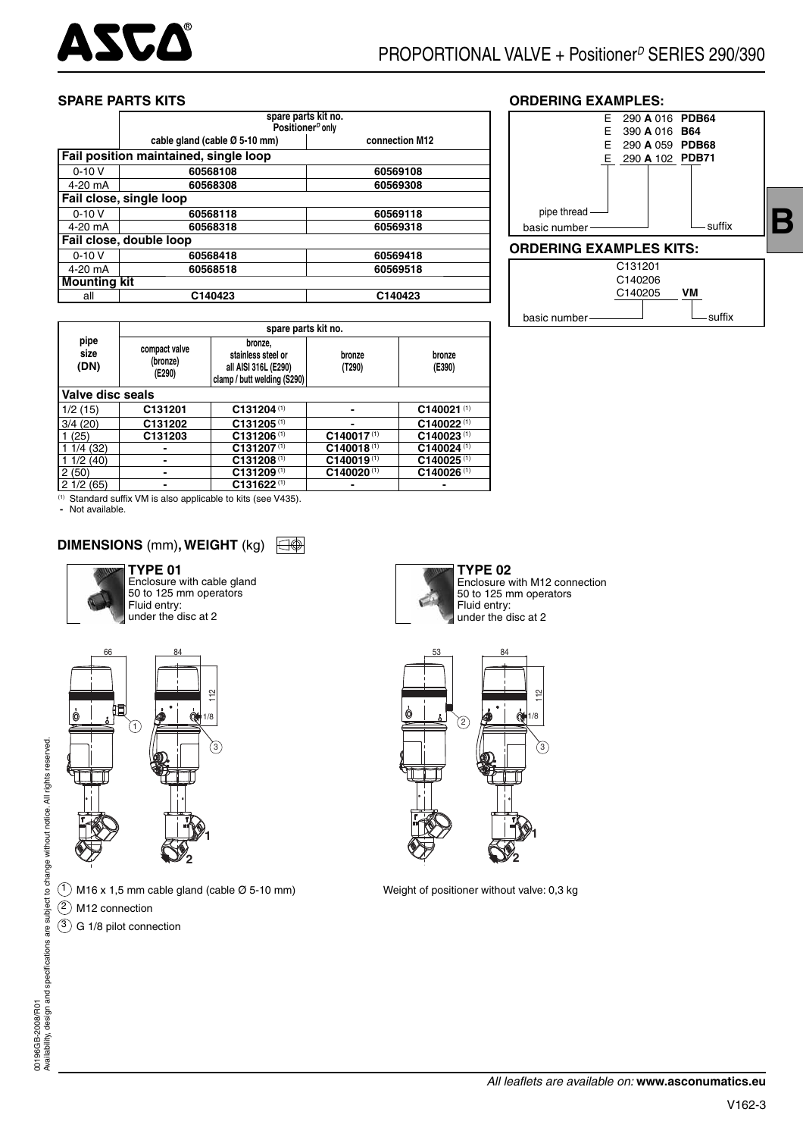

#### **SPARE PARTS KITS**

|                                       | spare parts kit no.<br>Positioner <sup>p</sup> only         |          |  |  |  |  |  |  |  |  |
|---------------------------------------|-------------------------------------------------------------|----------|--|--|--|--|--|--|--|--|
|                                       | cable gland (cable $\varnothing$ 5-10 mm)<br>connection M12 |          |  |  |  |  |  |  |  |  |
| Fail position maintained, single loop |                                                             |          |  |  |  |  |  |  |  |  |
| $0 - 10V$                             | 60568108                                                    | 60569108 |  |  |  |  |  |  |  |  |
| 4-20 mA                               | 60568308<br>60569308                                        |          |  |  |  |  |  |  |  |  |
|                                       | Fail close, single loop                                     |          |  |  |  |  |  |  |  |  |
| $0 - 10V$                             | 60568118                                                    | 60569118 |  |  |  |  |  |  |  |  |
| 4-20 mA                               | 60568318                                                    | 60569318 |  |  |  |  |  |  |  |  |
|                                       | Fail close, double loop                                     |          |  |  |  |  |  |  |  |  |
| $0 - 10V$                             | 60568418                                                    | 60569418 |  |  |  |  |  |  |  |  |
| 4-20 mA                               | 60568518                                                    | 60569518 |  |  |  |  |  |  |  |  |
|                                       | <b>Mounting kit</b>                                         |          |  |  |  |  |  |  |  |  |
| all                                   | C140423                                                     | C140423  |  |  |  |  |  |  |  |  |

|                      | spare parts kit no.                 |                                                                                      |                          |                          |  |  |  |  |  |  |
|----------------------|-------------------------------------|--------------------------------------------------------------------------------------|--------------------------|--------------------------|--|--|--|--|--|--|
| pipe<br>size<br>(DN) | compact valve<br>(bronze)<br>(E290) | bronze,<br>stainless steel or<br>all AISI 316L (E290)<br>clamp / butt welding (S290) | bronze<br>(T290)         | bronze<br>(E390)         |  |  |  |  |  |  |
| Valve disc seals     |                                     |                                                                                      |                          |                          |  |  |  |  |  |  |
| 1/2(15)              | C131201                             | C131204(1)                                                                           |                          | C140021(1)               |  |  |  |  |  |  |
| 3/4(20)              | C131202                             | $C131205$ <sup>(1)</sup>                                                             |                          | $C140022^{(1)}$          |  |  |  |  |  |  |
| (25)                 | C131203                             | $C131206$ <sup>(1)</sup>                                                             | C140017(1)               | C140023(1)               |  |  |  |  |  |  |
| 1/4(32)              |                                     | $C131207^{(1)}$                                                                      | C140018(1)               | C140024(1)               |  |  |  |  |  |  |
| 1/2(40)              |                                     | $C131208$ <sup>(1)</sup>                                                             | C140019(1)               | C140025 <sup>(1)</sup>   |  |  |  |  |  |  |
| 2(50)                |                                     | C131209(1)                                                                           | $C140020$ <sup>(1)</sup> | $C140026$ <sup>(1)</sup> |  |  |  |  |  |  |
| 21/2(65)             |                                     | $C131622^{(1)}$                                                                      |                          |                          |  |  |  |  |  |  |

 $(1)$  Standard suffix VM is also applicable to kits (see V435).

 **-** Not available.

#### **DIMENSIONS** (mm)**, WEIGHT** (kg)

# **TYPE 01**



Enclosure with cable gland 50 to 125 mm operators Fluid entry: under the disc at 2



 $(1)$  M16 x 1,5 mm cable gland (cable Ø 5-10 mm) Weight of positioner without valve: 0,3 kg 2 M12 connection

 $(3)$  G 1/8 pilot connection





#### **ORDERING EXAMPLES:**

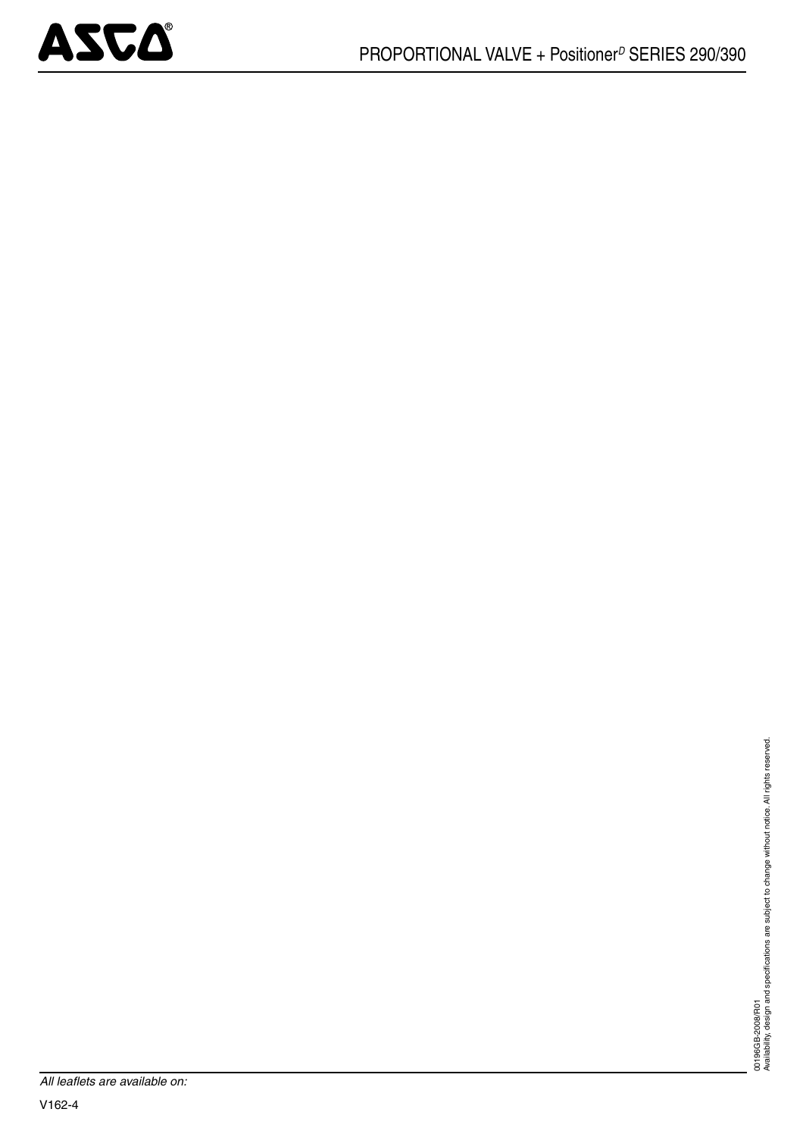